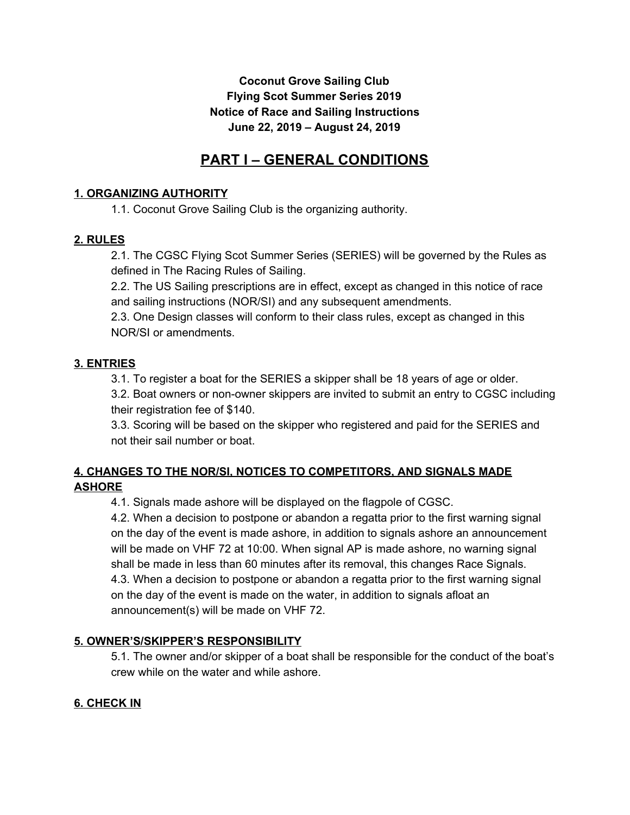# **Coconut Grove Sailing Club Flying Scot Summer Series 2019 Notice of Race and Sailing Instructions June 22, 2019 – August 24, 2019**

# **PART I – GENERAL CONDITIONS**

## **1. ORGANIZING AUTHORITY**

1.1. Coconut Grove Sailing Club is the organizing authority.

#### **2. RULES**

2.1. The CGSC Flying Scot Summer Series (SERIES) will be governed by the Rules as defined in The Racing Rules of Sailing.

2.2. The US Sailing prescriptions are in effect, except as changed in this notice of race and sailing instructions (NOR/SI) and any subsequent amendments.

2.3. One Design classes will conform to their class rules, except as changed in this NOR/SI or amendments.

# **3. ENTRIES**

3.1. To register a boat for the SERIES a skipper shall be 18 years of age or older.

3.2. Boat owners or non-owner skippers are invited to submit an entry to CGSC including their registration fee of \$140.

3.3. Scoring will be based on the skipper who registered and paid for the SERIES and not their sail number or boat.

#### **4. CHANGES TO THE NOR/SI, NOTICES TO COMPETITORS, AND SIGNALS MADE ASHORE**

4.1. Signals made ashore will be displayed on the flagpole of CGSC.

4.2. When a decision to postpone or abandon a regatta prior to the first warning signal on the day of the event is made ashore, in addition to signals ashore an announcement will be made on VHF 72 at 10:00. When signal AP is made ashore, no warning signal shall be made in less than 60 minutes after its removal, this changes Race Signals. 4.3. When a decision to postpone or abandon a regatta prior to the first warning signal on the day of the event is made on the water, in addition to signals afloat an announcement(s) will be made on VHF 72.

# **5. OWNER'S/SKIPPER'S RESPONSIBILITY**

5.1. The owner and/or skipper of a boat shall be responsible for the conduct of the boat's crew while on the water and while ashore.

# **6. CHECK IN**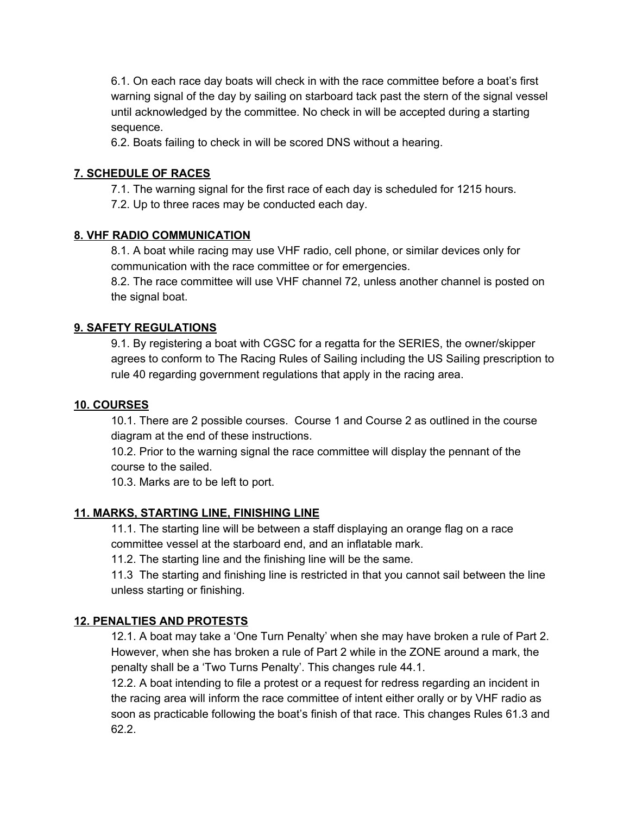6.1. On each race day boats will check in with the race committee before a boat's first warning signal of the day by sailing on starboard tack past the stern of the signal vessel until acknowledged by the committee. No check in will be accepted during a starting sequence.

6.2. Boats failing to check in will be scored DNS without a hearing.

## **7. SCHEDULE OF RACES**

7.1. The warning signal for the first race of each day is scheduled for 1215 hours. 7.2. Up to three races may be conducted each day.

#### **8. VHF RADIO COMMUNICATION**

8.1. A boat while racing may use VHF radio, cell phone, or similar devices only for communication with the race committee or for emergencies.

8.2. The race committee will use VHF channel 72, unless another channel is posted on the signal boat.

#### **9. SAFETY REGULATIONS**

9.1. By registering a boat with CGSC for a regatta for the SERIES, the owner/skipper agrees to conform to The Racing Rules of Sailing including the US Sailing prescription to rule 40 regarding government regulations that apply in the racing area.

#### **10. COURSES**

10.1. There are 2 possible courses. Course 1 and Course 2 as outlined in the course diagram at the end of these instructions.

10.2. Prior to the warning signal the race committee will display the pennant of the course to the sailed.

10.3. Marks are to be left to port.

#### **11. MARKS, STARTING LINE, FINISHING LINE**

11.1. The starting line will be between a staff displaying an orange flag on a race committee vessel at the starboard end, and an inflatable mark.

11.2. The starting line and the finishing line will be the same.

11.3 The starting and finishing line is restricted in that you cannot sail between the line unless starting or finishing.

#### **12. PENALTIES AND PROTESTS**

12.1. A boat may take a 'One Turn Penalty' when she may have broken a rule of Part 2. However, when she has broken a rule of Part 2 while in the ZONE around a mark, the penalty shall be a 'Two Turns Penalty'. This changes rule 44.1.

12.2. A boat intending to file a protest or a request for redress regarding an incident in the racing area will inform the race committee of intent either orally or by VHF radio as soon as practicable following the boat's finish of that race. This changes Rules 61.3 and 62.2.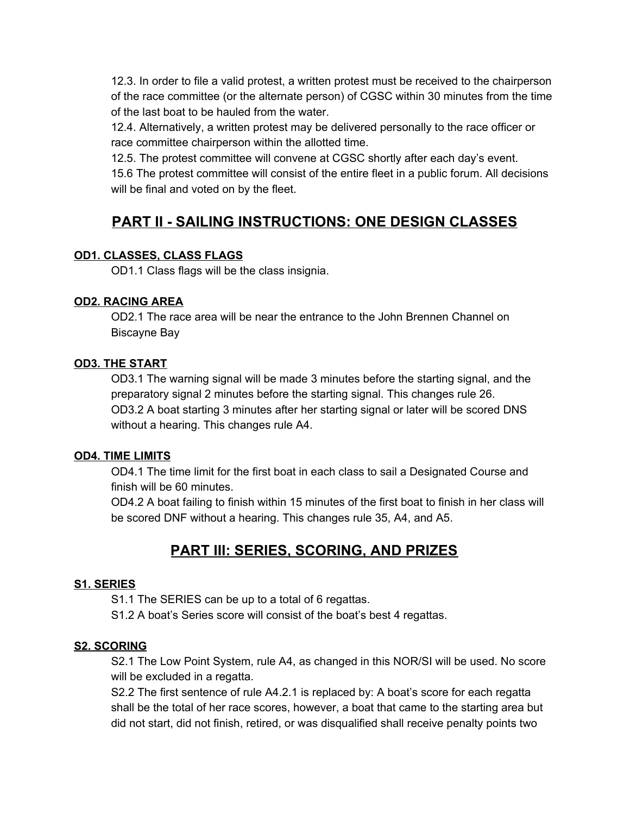12.3. In order to file a valid protest, a written protest must be received to the chairperson of the race committee (or the alternate person) of CGSC within 30 minutes from the time of the last boat to be hauled from the water.

12.4. Alternatively, a written protest may be delivered personally to the race officer or race committee chairperson within the allotted time.

12.5. The protest committee will convene at CGSC shortly after each day's event.

15.6 The protest committee will consist of the entire fleet in a public forum. All decisions will be final and voted on by the fleet.

# **PART II - SAILING INSTRUCTIONS: ONE DESIGN CLASSES**

#### **OD1. CLASSES, CLASS FLAGS**

OD1.1 Class flags will be the class insignia.

#### **OD2. RACING AREA**

OD2.1 The race area will be near the entrance to the John Brennen Channel on Biscayne Bay

#### **OD3. THE START**

OD3.1 The warning signal will be made 3 minutes before the starting signal, and the preparatory signal 2 minutes before the starting signal. This changes rule 26. OD3.2 A boat starting 3 minutes after her starting signal or later will be scored DNS without a hearing. This changes rule A4.

#### **OD4. TIME LIMITS**

OD4.1 The time limit for the first boat in each class to sail a Designated Course and finish will be 60 minutes.

OD4.2 A boat failing to finish within 15 minutes of the first boat to finish in her class will be scored DNF without a hearing. This changes rule 35, A4, and A5.

# **PART III: SERIES, SCORING, AND PRIZES**

# **S1. SERIES**

S1.1 The SERIES can be up to a total of 6 regattas.

S1.2 A boat's Series score will consist of the boat's best 4 regattas.

#### **S2. SCORING**

S2.1 The Low Point System, rule A4, as changed in this NOR/SI will be used. No score will be excluded in a regatta.

S2.2 The first sentence of rule A4.2.1 is replaced by: A boat's score for each regatta shall be the total of her race scores, however, a boat that came to the starting area but did not start, did not finish, retired, or was disqualified shall receive penalty points two